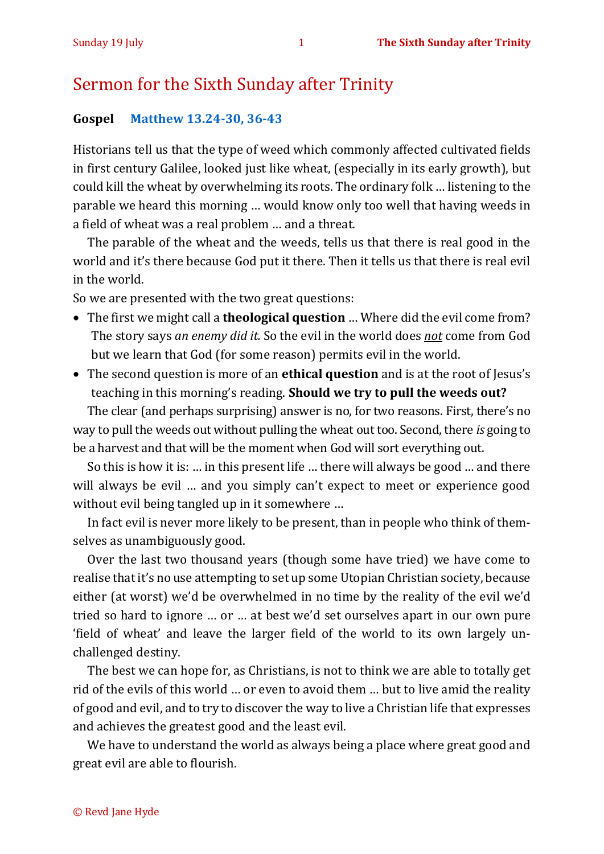## Sermon for the Sixth Sunday after Trinity

## **Gospel [Matthew 13.24-30, 36-43](https://www.biblegateway.com/passage/?search=Matthew+13.24-30%2C+36-43+&version=NIV)**

Historians tell us that the type of weed which commonly affected cultivated fields in first century Galilee, looked just like wheat, (especially in its early growth), but could kill the wheat by overwhelming its roots. The ordinary folk … listening to the parable we heard this morning … would know only too well that having weeds in a field of wheat was a real problem … and a threat.

The parable of the wheat and the weeds, tells us that there is real good in the world and it's there because God put it there. Then it tells us that there is real evil in the world.

So we are presented with the two great questions:

- The first we might call a **theological question** … Where did the evil come from? The story says *an enemy did it.* So the evil in the world does *not* come from God but we learn that God (for some reason) permits evil in the world.
- The second question is more of an **ethical question** and is at the root of Jesus's teaching in this morning's reading. **Should we try to pull the weeds out?**

The clear (and perhaps surprising) answer is no, for two reasons. First, there's no way to pull the weeds out without pulling the wheat out too. Second, there *is* going to be a harvest and that will be the moment when God will sort everything out.

So this is how it is: … in this present life … there will always be good … and there will always be evil … and you simply can't expect to meet or experience good without evil being tangled up in it somewhere …

In fact evil is never more likely to be present, than in people who think of themselves as unambiguously good.

Over the last two thousand years (though some have tried) we have come to realise that it's no use attempting to set up some Utopian Christian society, because either (at worst) we'd be overwhelmed in no time by the reality of the evil we'd tried so hard to ignore … or … at best we'd set ourselves apart in our own pure 'field of wheat' and leave the larger field of the world to its own largely unchallenged destiny.

The best we can hope for, as Christians, is not to think we are able to totally get rid of the evils of this world … or even to avoid them … but to live amid the reality of good and evil, and to try to discover the way to live a Christian life that expresses and achieves the greatest good and the least evil.

We have to understand the world as always being a place where great good and great evil are able to flourish.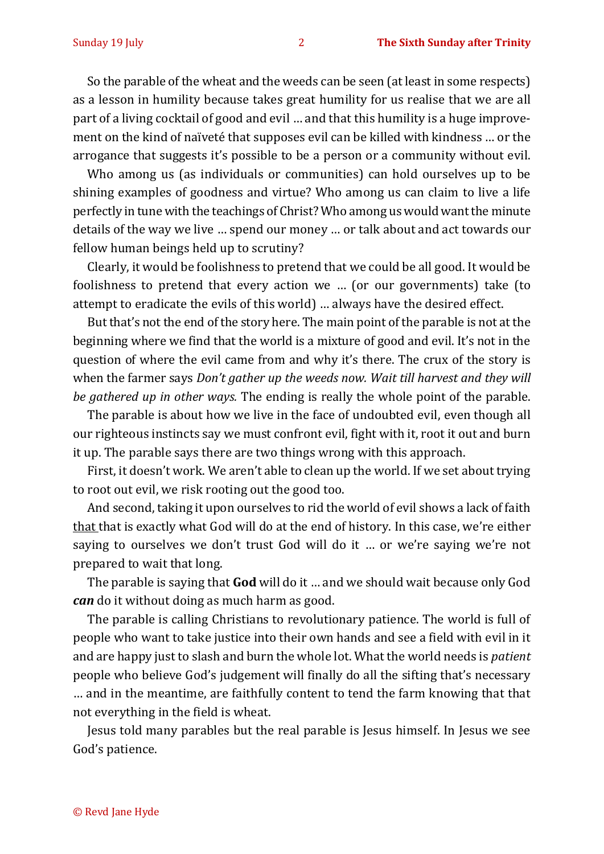So the parable of the wheat and the weeds can be seen (at least in some respects) as a lesson in humility because takes great humility for us realise that we are all part of a living cocktail of good and evil … and that this humility is a huge improvement on the kind of naïveté that supposes evil can be killed with kindness … or the arrogance that suggests it's possible to be a person or a community without evil.

Who among us (as individuals or communities) can hold ourselves up to be shining examples of goodness and virtue? Who among us can claim to live a life perfectly in tune with the teachings of Christ? Who among us would want the minute details of the way we live … spend our money … or talk about and act towards our fellow human beings held up to scrutiny?

Clearly, it would be foolishness to pretend that we could be all good. It would be foolishness to pretend that every action we … (or our governments) take (to attempt to eradicate the evils of this world) … always have the desired effect.

But that's not the end of the story here. The main point of the parable is not at the beginning where we find that the world is a mixture of good and evil. It's not in the question of where the evil came from and why it's there. The crux of the story is when the farmer says *Don't gather up the weeds now. Wait till harvest and they will be gathered up in other ways.* The ending is really the whole point of the parable.

The parable is about how we live in the face of undoubted evil, even though all our righteous instincts say we must confront evil, fight with it, root it out and burn it up. The parable says there are two things wrong with this approach.

First, it doesn't work. We aren't able to clean up the world. If we set about trying to root out evil, we risk rooting out the good too.

And second, taking it upon ourselves to rid the world of evil shows a lack of faith that that is exactly what God will do at the end of history. In this case, we're either saying to ourselves we don't trust God will do it … or we're saying we're not prepared to wait that long.

The parable is saying that **God** will do it … and we should wait because only God *can* do it without doing as much harm as good.

The parable is calling Christians to revolutionary patience. The world is full of people who want to take justice into their own hands and see a field with evil in it and are happy just to slash and burn the whole lot. What the world needs is *patient* people who believe God's judgement will finally do all the sifting that's necessary … and in the meantime, are faithfully content to tend the farm knowing that that not everything in the field is wheat.

Jesus told many parables but the real parable is Jesus himself. In Jesus we see God's patience.